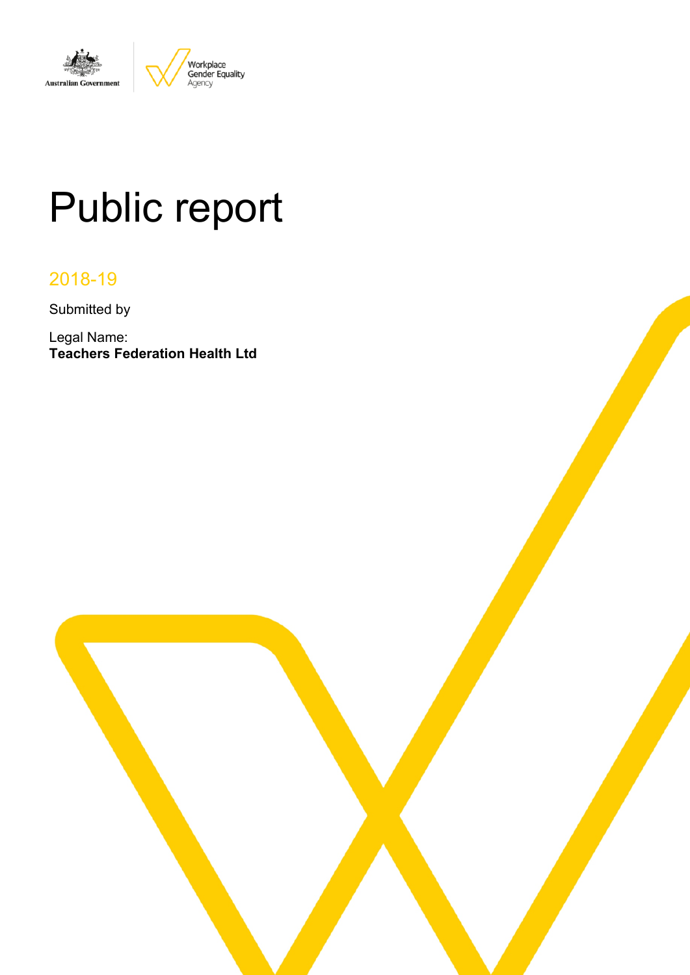

# Public report

# 2018-19

Submitted by

Legal Name: **Teachers Federation Health Ltd**

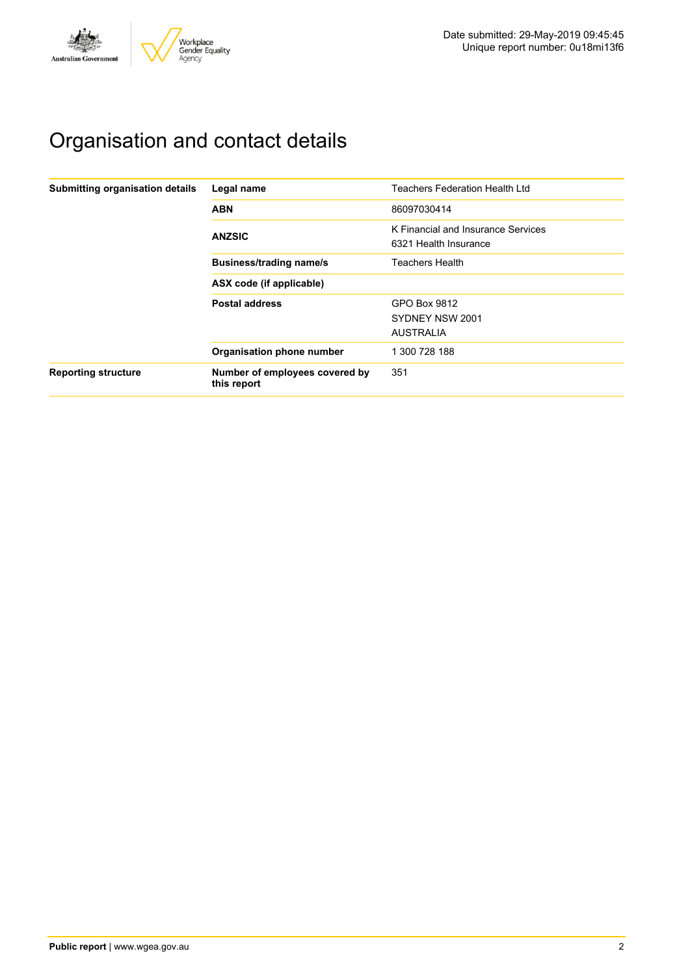

# Organisation and contact details

| Submitting organisation details | Legal name                                    | <b>Teachers Federation Health Ltd</b>                       |
|---------------------------------|-----------------------------------------------|-------------------------------------------------------------|
|                                 | <b>ABN</b>                                    | 86097030414                                                 |
|                                 | <b>ANZSIC</b>                                 | K Financial and Insurance Services<br>6321 Health Insurance |
|                                 | <b>Business/trading name/s</b>                | Teachers Health                                             |
|                                 | ASX code (if applicable)                      |                                                             |
|                                 | <b>Postal address</b>                         | GPO Box 9812<br>SYDNEY NSW 2001<br><b>AUSTRALIA</b>         |
|                                 | Organisation phone number                     | 1 300 728 188                                               |
| <b>Reporting structure</b>      | Number of employees covered by<br>this report | 351                                                         |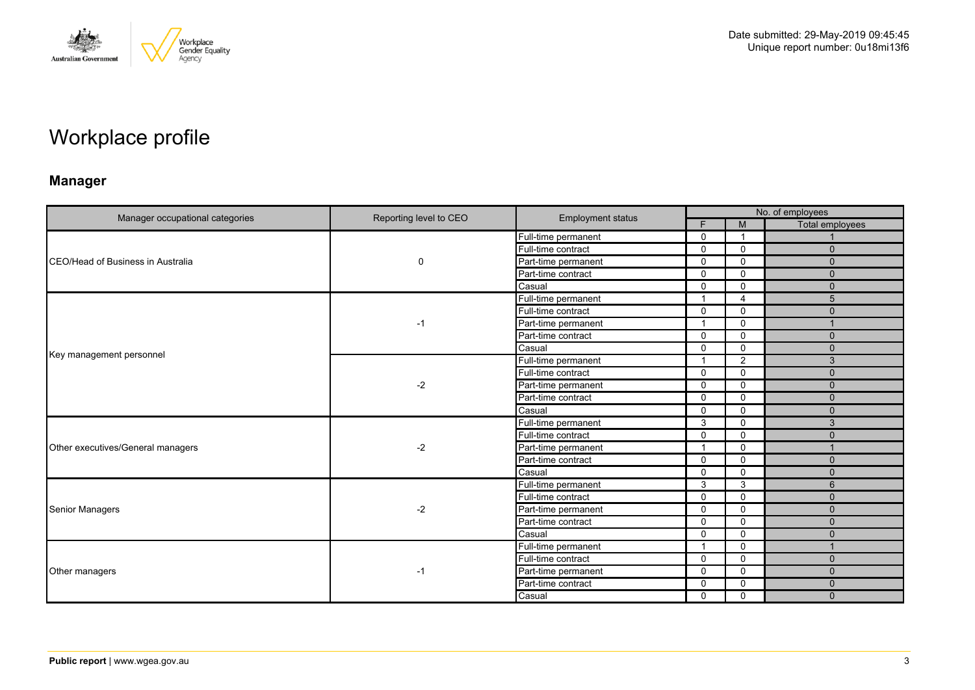

# Workplace profile

## **Manager**

|                                           |                        | <b>Employment status</b> |                | No. of employees |                        |  |  |
|-------------------------------------------|------------------------|--------------------------|----------------|------------------|------------------------|--|--|
| Manager occupational categories           | Reporting level to CEO |                          | E              | M                | <b>Total employees</b> |  |  |
|                                           |                        | Full-time permanent      | $\Omega$       | - 1              |                        |  |  |
|                                           |                        | Full-time contract       | $\mathbf 0$    | $\mathbf 0$      | $\mathbf{0}$           |  |  |
| <b>ICEO/Head of Business in Australia</b> | $\mathbf 0$            | Part-time permanent      | $\Omega$       | $\mathbf{0}$     | $\Omega$               |  |  |
|                                           |                        | Part-time contract       | 0              | $\Omega$         | $\mathbf{0}$           |  |  |
|                                           |                        | Casual                   | $\mathbf{0}$   | $\mathbf 0$      | $\mathbf{0}$           |  |  |
|                                           |                        | Full-time permanent      | -1             | $\overline{4}$   | 5                      |  |  |
|                                           |                        | Full-time contract       | $\mathbf 0$    | $\mathbf 0$      | $\mathbf{0}$           |  |  |
|                                           | $-1$                   | Part-time permanent      | -1             | 0                |                        |  |  |
|                                           |                        | Part-time contract       | $\Omega$       | $\mathbf{0}$     | $\mathbf{0}$           |  |  |
|                                           |                        | Casual                   | $\mathbf{0}$   | $\mathbf{0}$     | $\Omega$               |  |  |
| Key management personnel                  | $-2$                   | Full-time permanent      | $\mathbf{1}$   | $\overline{2}$   | 3                      |  |  |
|                                           |                        | Full-time contract       | $\mathbf{0}$   | $\mathbf{0}$     | $\mathbf{0}$           |  |  |
|                                           |                        | Part-time permanent      | $\mathbf 0$    | $\mathbf 0$      | $\mathbf{0}$           |  |  |
|                                           |                        | Part-time contract       | $\Omega$       | 0                | $\mathbf{0}$           |  |  |
|                                           |                        | Casual                   | $\Omega$       | $\mathbf 0$      | $\Omega$               |  |  |
|                                           | $-2$                   | Full-time permanent      | 3              | $\mathbf{0}$     | 3                      |  |  |
|                                           |                        | Full-time contract       | $\mathbf{0}$   | $\Omega$         | $\Omega$               |  |  |
| Other executives/General managers         |                        | Part-time permanent      | -1             | $\mathbf 0$      |                        |  |  |
|                                           |                        | Part-time contract       | $\mathbf 0$    | $\mathbf 0$      | $\mathbf{0}$           |  |  |
|                                           |                        | Casual                   | 0              | $\Omega$         | $\mathbf{0}$           |  |  |
|                                           |                        | Full-time permanent      | 3              | 3                | 6                      |  |  |
|                                           |                        | Full-time contract       | $\mathbf 0$    | $\mathbf{0}$     | $\mathbf{0}$           |  |  |
| <b>Senior Managers</b>                    | $-2$                   | Part-time permanent      | $\mathbf 0$    | $\mathbf 0$      | $\mathbf{0}$           |  |  |
|                                           |                        | Part-time contract       | $\Omega$       | $\mathbf{0}$     | $\Omega$               |  |  |
|                                           |                        | Casual                   | $\mathbf 0$    | $\mathbf 0$      | $\mathbf{0}$           |  |  |
|                                           |                        | Full-time permanent      | $\overline{1}$ | $\Omega$         |                        |  |  |
|                                           |                        | Full-time contract       | $\Omega$       | $\mathbf 0$      | $\Omega$               |  |  |
| Other managers                            | -1                     | Part-time permanent      | $\mathbf{0}$   | $\mathbf 0$      | $\mathbf{0}$           |  |  |
|                                           |                        | Part-time contract       | $\Omega$       | $\Omega$         | $\Omega$               |  |  |
|                                           |                        | Casual                   | 0              | $\mathbf 0$      | $\Omega$               |  |  |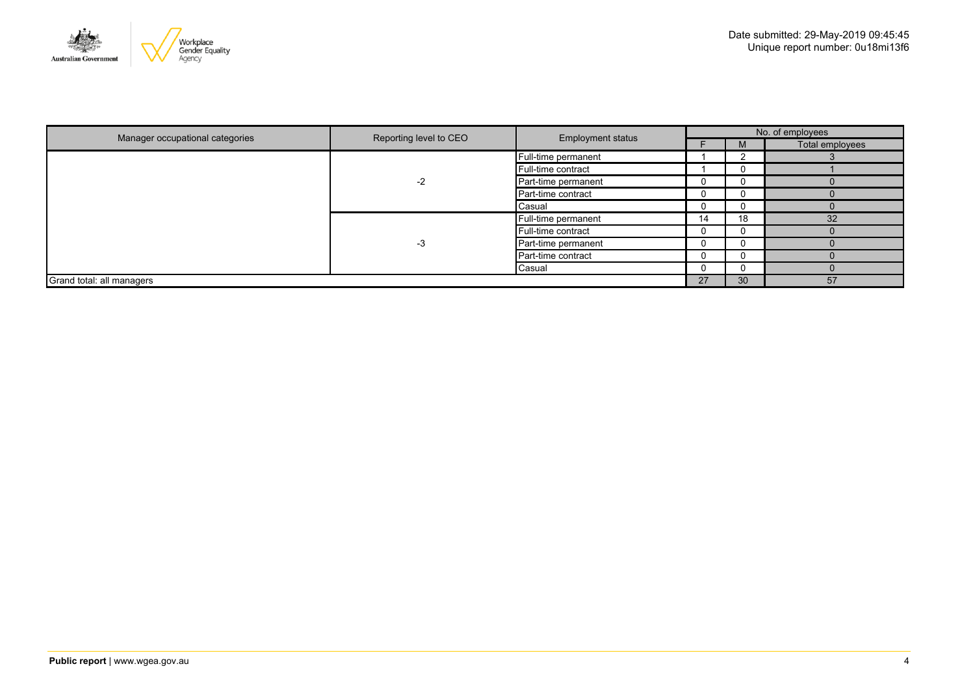

|                                 | Reporting level to CEO<br><b>Employment status</b> |                     |    |    | No. of employees |
|---------------------------------|----------------------------------------------------|---------------------|----|----|------------------|
| Manager occupational categories |                                                    |                     |    |    | Total employees  |
|                                 |                                                    | Full-time permanent |    |    |                  |
|                                 |                                                    | Full-time contract  |    |    |                  |
|                                 | $-2$                                               | Part-time permanent |    |    |                  |
|                                 |                                                    | Part-time contract  | υ  |    |                  |
|                                 |                                                    | Casual              |    |    |                  |
|                                 |                                                    | Full-time permanent | 14 | 18 | 32               |
|                                 |                                                    | Full-time contract  |    |    |                  |
|                                 | -3                                                 | Part-time permanent |    |    |                  |
|                                 |                                                    | Part-time contract  |    |    |                  |
|                                 |                                                    | Casual              |    |    |                  |
| Grand total: all managers       |                                                    |                     | 27 | 30 | 57               |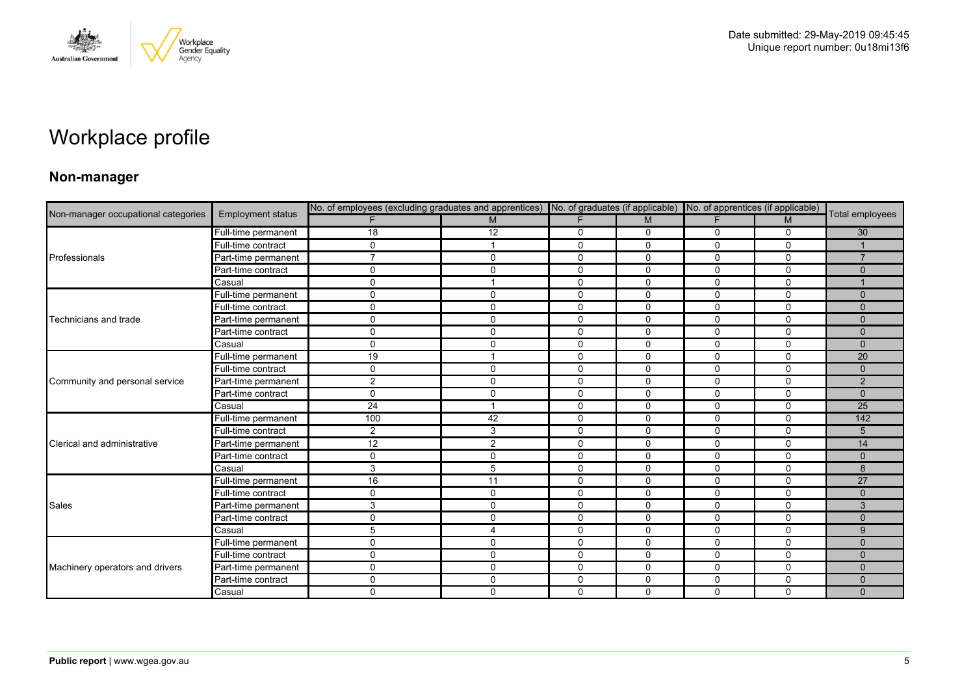

# Workplace profile

### **Non-manager**

| Non-manager occupational categories |                          | No. of employees (excluding graduates and apprentices) No. of graduates (if applicable) No. of apprentices (if applicable) |              |              |              |             |              |                 |
|-------------------------------------|--------------------------|----------------------------------------------------------------------------------------------------------------------------|--------------|--------------|--------------|-------------|--------------|-----------------|
|                                     | <b>Employment status</b> |                                                                                                                            | M            | F            | M            | F.          | M            | Total employees |
|                                     | Full-time permanent      | 18                                                                                                                         | 12           | 0            | 0            | 0           | 0            | 30              |
|                                     | Full-time contract       | $\mathbf 0$                                                                                                                |              | $\mathbf 0$  | $\mathbf 0$  | 0           | $\mathbf 0$  |                 |
| Professionals                       | Part-time permanent      | $\overline{7}$                                                                                                             | $\Omega$     | $\mathbf 0$  | 0            | 0           | $\mathbf 0$  | $\overline{7}$  |
|                                     | Part-time contract       | 0                                                                                                                          | $\Omega$     | 0            | 0            | 0           | 0            | $\Omega$        |
|                                     | Casual                   | $\mathbf 0$                                                                                                                |              | $\mathbf 0$  | $\mathbf 0$  | $\Omega$    | $\mathbf 0$  |                 |
|                                     | Full-time permanent      | 0                                                                                                                          | $\mathbf{0}$ | $\mathbf 0$  | $\Omega$     | 0           | $\Omega$     | $\Omega$        |
|                                     | Full-time contract       | $\mathbf 0$                                                                                                                | $\mathbf{0}$ | $\mathbf 0$  | $\mathbf 0$  | 0           | $\mathbf 0$  | $\mathbf{0}$    |
| Technicians and trade               | Part-time permanent      | $\mathbf 0$                                                                                                                | $\mathbf 0$  | $\mathbf 0$  | $\mathbf 0$  | 0           | $\mathbf 0$  | $\Omega$        |
|                                     | Part-time contract       | 0                                                                                                                          | $\Omega$     | $\mathbf{0}$ | $\Omega$     | $\Omega$    | $\Omega$     | $\Omega$        |
|                                     | Casual                   | 0                                                                                                                          | $\Omega$     | 0            | $\mathbf 0$  | $\Omega$    | $\mathbf 0$  | $\Omega$        |
| Community and personal service      | Full-time permanent      | 19                                                                                                                         |              | $\mathbf 0$  | $\mathbf 0$  | 0           | $\mathbf 0$  | 20              |
|                                     | Full-time contract       | $\mathbf 0$                                                                                                                | $\Omega$     | $\mathbf 0$  | $\mathbf 0$  | 0           | $\mathbf 0$  | $\mathbf{0}$    |
|                                     | Part-time permanent      | $\overline{2}$                                                                                                             | $\mathbf 0$  | 0            | 0            | 0           | 0            | $\overline{2}$  |
|                                     | Part-time contract       | $\mathbf 0$                                                                                                                | $\mathbf{0}$ | $\mathbf 0$  | $\mathbf 0$  | $\Omega$    | $\mathbf 0$  | $\mathbf{0}$    |
|                                     | Casual                   | 24                                                                                                                         |              | $\mathbf 0$  | 0            | 0           | $\mathbf 0$  | $\overline{25}$ |
|                                     | Full-time permanent      | 100                                                                                                                        | 42           | 0            | 0            | 0           | $\mathbf 0$  | 142             |
|                                     | Full-time contract       | $\overline{2}$                                                                                                             | 3            | $\mathbf 0$  | $\mathbf{0}$ | $\Omega$    | $\Omega$     | 5               |
| Clerical and administrative         | Part-time permanent      | 12                                                                                                                         | 2            | $\mathbf 0$  | 0            | 0           | $\mathbf 0$  | 14              |
|                                     | Part-time contract       | $\mathsf{O}$                                                                                                               | $\mathbf 0$  | $\mathbf 0$  | $\mathbf 0$  | $\mathbf 0$ | $\mathbf 0$  | $\mathbf{0}$    |
|                                     | Casual                   | 3                                                                                                                          | 5            | $\mathbf 0$  | $\mathbf 0$  | $\Omega$    | $\mathbf 0$  | 8               |
|                                     | Full-time permanent      | 16                                                                                                                         | 11           | $\mathbf 0$  | $\mathbf{0}$ | 0           | $\mathbf{0}$ | $\overline{27}$ |
|                                     | Full-time contract       | $\mathbf 0$                                                                                                                | $\mathbf 0$  | $\mathbf 0$  | $\mathbf 0$  | $\Omega$    | $\mathbf 0$  | $\Omega$        |
| <b>Sales</b>                        | Part-time permanent      | 3                                                                                                                          | $\mathbf 0$  | $\mathbf 0$  | $\mathbf 0$  | $\mathbf 0$ | $\mathbf 0$  | 3               |
|                                     | Part-time contract       | $\mathbf 0$                                                                                                                | $\Omega$     | 0            | $\mathbf{0}$ | 0           | $\mathbf 0$  | $\Omega$        |
|                                     | Casual                   | 5                                                                                                                          | 4            | $\mathbf 0$  | $\mathbf 0$  | 0           | $\mathbf 0$  | 9               |
|                                     | Full-time permanent      | $\mathbf 0$                                                                                                                | $\mathbf{0}$ | $\mathbf 0$  | $\mathbf{0}$ | $\mathbf 0$ | $\mathbf 0$  | $\Omega$        |
|                                     | Full-time contract       | $\mathbf 0$                                                                                                                | $\Omega$     | $\mathbf 0$  | $\Omega$     | 0           | $\Omega$     | $\Omega$        |
| Machinery operators and drivers     | Part-time permanent      | $\mathbf 0$                                                                                                                | $\mathbf{0}$ | $\mathbf 0$  | 0            | 0           | $\mathbf 0$  | $\Omega$        |
|                                     | Part-time contract       | $\mathbf 0$                                                                                                                | $\mathbf{0}$ | $\mathbf 0$  | $\mathbf 0$  | $\mathbf 0$ | $\mathbf 0$  | $\Omega$        |
|                                     | Casual                   | $\mathbf 0$                                                                                                                | $\mathbf{0}$ | $\Omega$     | $\Omega$     | $\Omega$    | $\mathbf 0$  | $\Omega$        |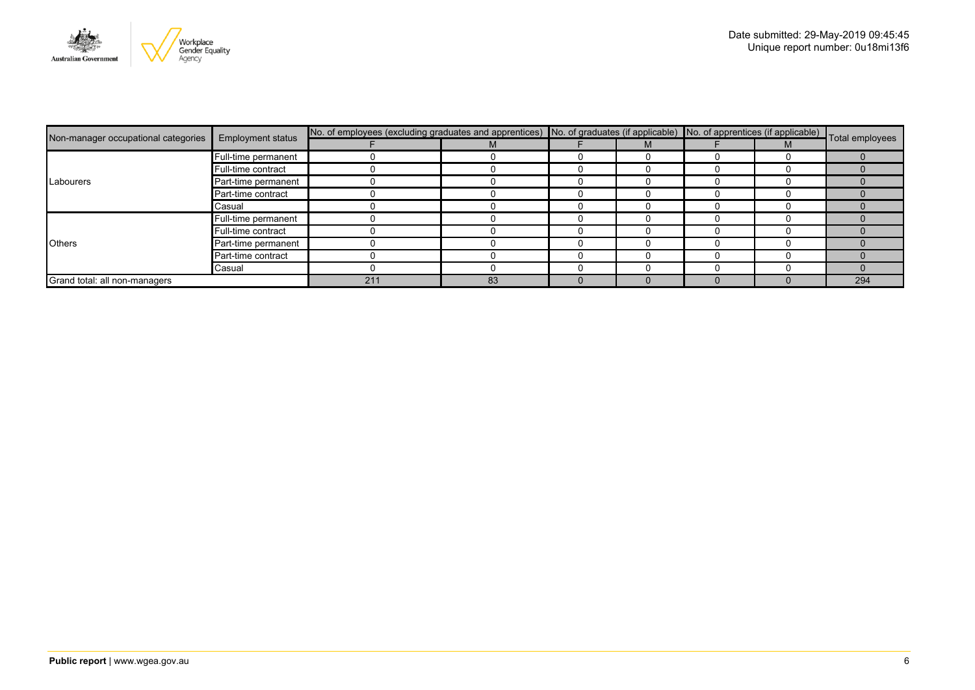

|                                     |                          | No. of employees (excluding graduates and apprentices) No. of graduates (if applicable) No. of apprentices (if applicable) Total employees |    |  |  |     |
|-------------------------------------|--------------------------|--------------------------------------------------------------------------------------------------------------------------------------------|----|--|--|-----|
| Non-manager occupational categories | <b>Employment status</b> |                                                                                                                                            |    |  |  |     |
|                                     | Full-time permanent      |                                                                                                                                            |    |  |  |     |
|                                     | Full-time contract       |                                                                                                                                            |    |  |  |     |
| Labourers                           | Part-time permanent      |                                                                                                                                            |    |  |  |     |
|                                     | Part-time contract       |                                                                                                                                            |    |  |  |     |
|                                     | Casual                   |                                                                                                                                            |    |  |  |     |
|                                     | Full-time permanent      |                                                                                                                                            |    |  |  |     |
| <b>Others</b>                       | Full-time contract       |                                                                                                                                            |    |  |  |     |
|                                     | Part-time permanent      |                                                                                                                                            |    |  |  |     |
|                                     | Part-time contract       |                                                                                                                                            |    |  |  |     |
|                                     | Casual                   |                                                                                                                                            |    |  |  |     |
| Grand total: all non-managers       |                          | 211                                                                                                                                        | 83 |  |  | 294 |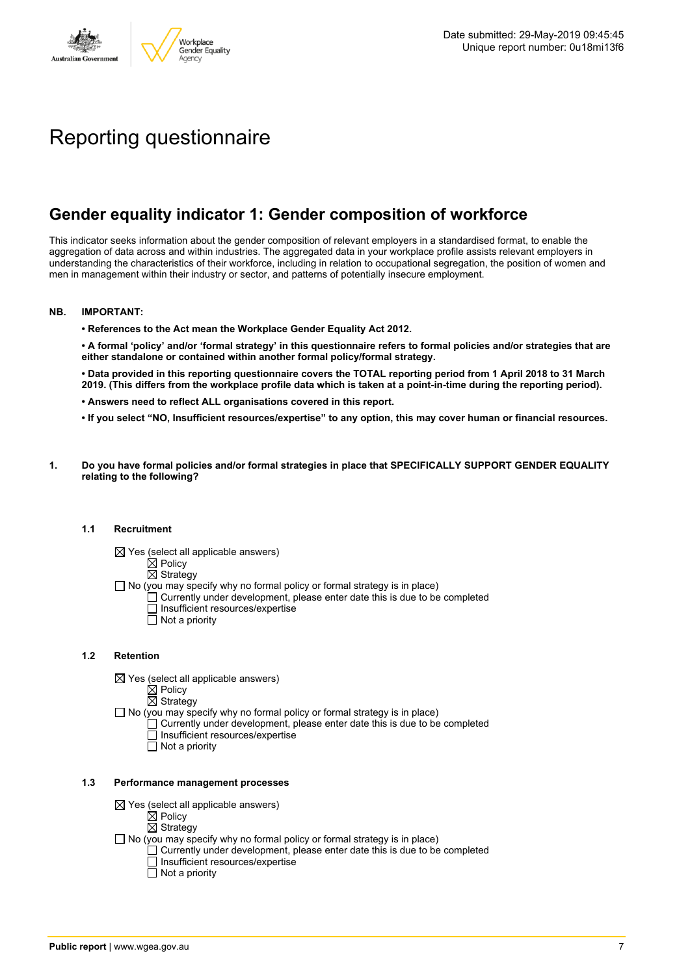

# Reporting questionnaire

## **Gender equality indicator 1: Gender composition of workforce**

This indicator seeks information about the gender composition of relevant employers in a standardised format, to enable the aggregation of data across and within industries. The aggregated data in your workplace profile assists relevant employers in understanding the characteristics of their workforce, including in relation to occupational segregation, the position of women and men in management within their industry or sector, and patterns of potentially insecure employment.

#### **NB. IMPORTANT:**

**• References to the Act mean the Workplace Gender Equality Act 2012.**

• A formal 'policy' and/or 'formal strategy' in this questionnaire refers to formal policies and/or strategies that are **either standalone or contained within another formal policy/formal strategy.**

• Data provided in this reporting questionnaire covers the TOTAL reporting period from 1 April 2018 to 31 March 2019. (This differs from the workplace profile data which is taken at a point-in-time during the reporting period).

- **• Answers need to reflect ALL organisations covered in this report.**
- . If you select "NO, Insufficient resources/expertise" to any option, this may cover human or financial resources.
- **1. Do you have formal policies and/or formal strategies in place that SPECIFICALLY SUPPORT GENDER EQUALITY relating to the following?**

#### **1.1 Recruitment**

- $\boxtimes$  Yes (select all applicable answers)
	- $\boxtimes$  Policy
	- $\boxtimes$  Strategy
- No (you may specify why no formal policy or formal strategy is in place)
	- $\Box$  Currently under development, please enter date this is due to be completed
		- $\overline{\Box}$  Insufficient resources/expertise
		- $\Box$  Not a priority

#### **1.2 Retention**

- $\boxtimes$  Yes (select all applicable answers)
	- $\boxtimes$  Policy
	- $\boxtimes$  Strategy
- No (you may specify why no formal policy or formal strategy is in place)
	- $\Box$  Currently under development, please enter date this is due to be completed
		- Insufficient resources/expertise
		- Not a priority

#### **1.3 Performance management processes**

- $\boxtimes$  Yes (select all applicable answers)
	- $\mathbb{\dot{A}}$  Policy
	- $\boxtimes$  Strategy
- $\Box$  No (you may specify why no formal policy or formal strategy is in place)
	- $\Box$  Currently under development, please enter date this is due to be completed
	- $\Box$  Insufficient resources/expertise
	- $\Box$  Not a priority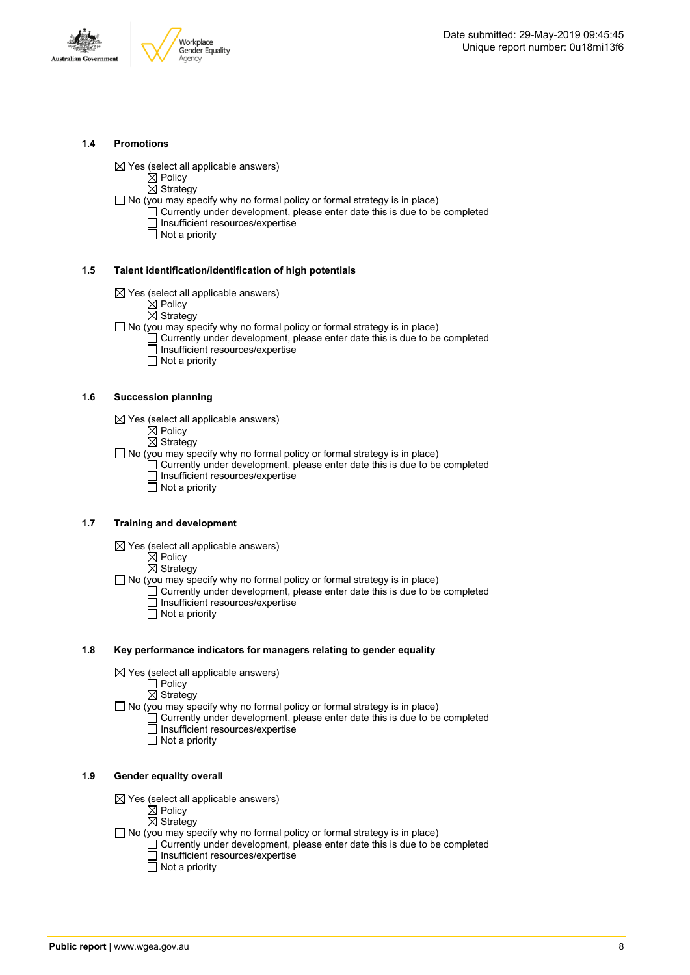



#### **1.4 Promotions**

 $\boxtimes$  Yes (select all applicable answers)

 $\boxtimes$  Policy  $\overline{\boxtimes}$  Strategy

- $\Box$  No (you may specify why no formal policy or formal strategy is in place)
	- $\Box$  Currently under development, please enter date this is due to be completed □ Insufficient resources/expertise
		- $\overline{\Box}$  Not a priority

#### **1.5 Talent identification/identification of high potentials**

- $\boxtimes$  Yes (select all applicable answers)
	- $\boxtimes$  Policy
	- $\overline{\boxtimes}$  Strategy
- $\Box$  No (you may specify why no formal policy or formal strategy is in place)
	- Currently under development, please enter date this is due to be completed Insufficient resources/expertise
		- $\overline{\Box}$  Not a priority

#### **1.6 Succession planning**

- $\boxtimes$  Yes (select all applicable answers)
	- $\boxtimes$  Policy
	- $\overline{\boxtimes}$  Strategy
- $\Box$  No (you may specify why no formal policy or formal strategy is in place)
	- $\Box$  Currently under development, please enter date this is due to be completed Insufficient resources/expertise
	- Not a priority

#### **1.7 Training and development**

- $\boxtimes$  Yes (select all applicable answers)
	- $\mathbb{\dot{Z}}$  Policy
		- $\boxtimes$  Strategy
- $\Box$  No (you may specify why no formal policy or formal strategy is in place)
	- Currently under development, please enter date this is due to be completed Insufficient resources/expertise  $\Box$  Not a priority
		-

#### **1.8 Key performance indicators for managers relating to gender equality**

- $\boxtimes$  Yes (select all applicable answers)
	- □ Policy
	- $\boxtimes$  Strategy
- $\Box$  No (you may specify why no formal policy or formal strategy is in place)
	- $\Box$  Currently under development, please enter date this is due to be completed Insufficient resources/expertise
		- Not a priority

#### **1.9 Gender equality overall**

- $\boxtimes$  Yes (select all applicable answers)
	- $\mathbb{\dot{A}}$  Policy
	- $\boxtimes$  Strategy
- $\Box$  No (you may specify why no formal policy or formal strategy is in place)
	- $\Box$  Currently under development, please enter date this is due to be completed □ Insufficient resources/expertise
		- $\Box$  Not a priority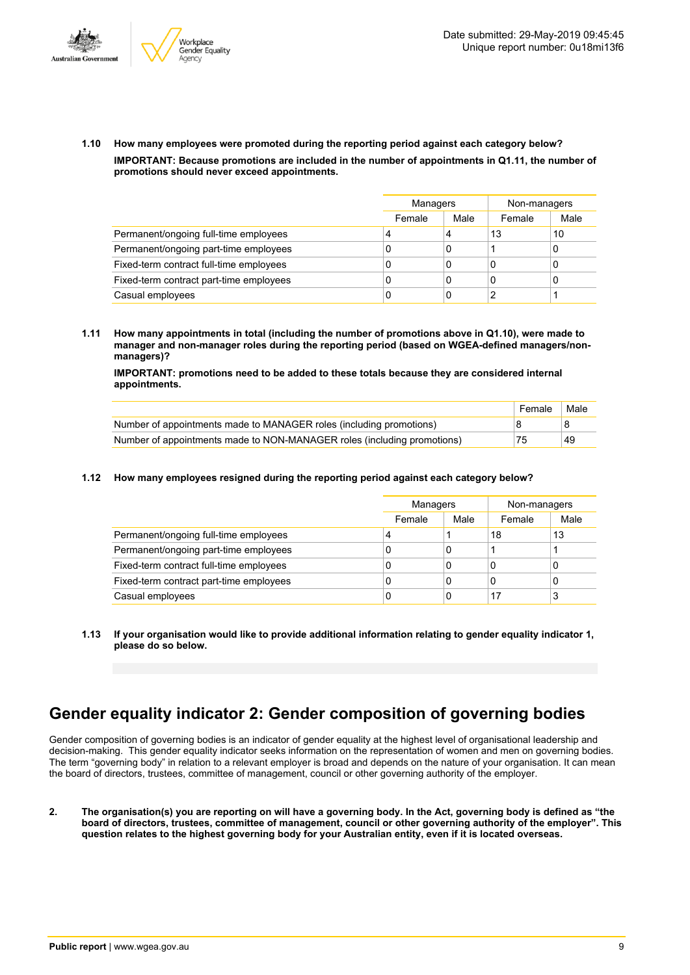



**1.10 How many employees were promoted during the reporting period against each category below? IMPORTANT: Because promotions are included in the number of appointments in Q1.11, the number of promotions should never exceed appointments.**

|                                         |        | Managers |        | Non-managers |
|-----------------------------------------|--------|----------|--------|--------------|
|                                         | Female | Male     | Female | Male         |
| Permanent/ongoing full-time employees   | 4      | 4        | 13     | 10           |
| Permanent/ongoing part-time employees   | C      | 0        |        | 0            |
| Fixed-term contract full-time employees | C      | 0        | 0      | 0            |
| Fixed-term contract part-time employees | C      | 0        | C      | 0            |
| Casual employees                        | C      | 0        | ົ      |              |

**1.11 How many appointments in total (including the number of promotions above in Q1.10), were made to manager and non-manager roles during the reporting period (based on WGEA-defined managers/nonmanagers)?**

**IMPORTANT: promotions need to be added to these totals because they are considered internal appointments.**

|                                                                         | Female | Male |
|-------------------------------------------------------------------------|--------|------|
| Number of appointments made to MANAGER roles (including promotions)     |        |      |
| Number of appointments made to NON-MANAGER roles (including promotions) | 75     | 49   |

#### **1.12 How many employees resigned during the reporting period against each category below?**

|                                         | Managers |      | Non-managers |      |
|-----------------------------------------|----------|------|--------------|------|
|                                         | Female   | Male | Female       | Male |
| Permanent/ongoing full-time employees   | 4        |      | 18           | 13   |
| Permanent/ongoing part-time employees   | 0        | 0    |              |      |
| Fixed-term contract full-time employees | 0        | 0    |              | 0    |
| Fixed-term contract part-time employees | 0        | 0    |              | 0    |
| Casual employees                        | 0        | 0    | 17           | 3    |

**1.13 If your organisation would like to provide additional information relating to gender equality indicator 1, please do so below.**

### **Gender equality indicator 2: Gender composition of governing bodies**

Gender composition of governing bodies is an indicator of gender equality at the highest level of organisational leadership and decision-making. This gender equality indicator seeks information on the representation of women and men on governing bodies. The term "governing body" in relation to a relevant employer is broad and depends on the nature of your organisation. It can mean the board of directors, trustees, committee of management, council or other governing authority of the employer.

2. The organisation(s) you are reporting on will have a governing body. In the Act, governing body is defined as "the board of directors, trustees, committee of management, council or other governing authority of the employer". This question relates to the highest governing body for your Australian entity, even if it is located overseas.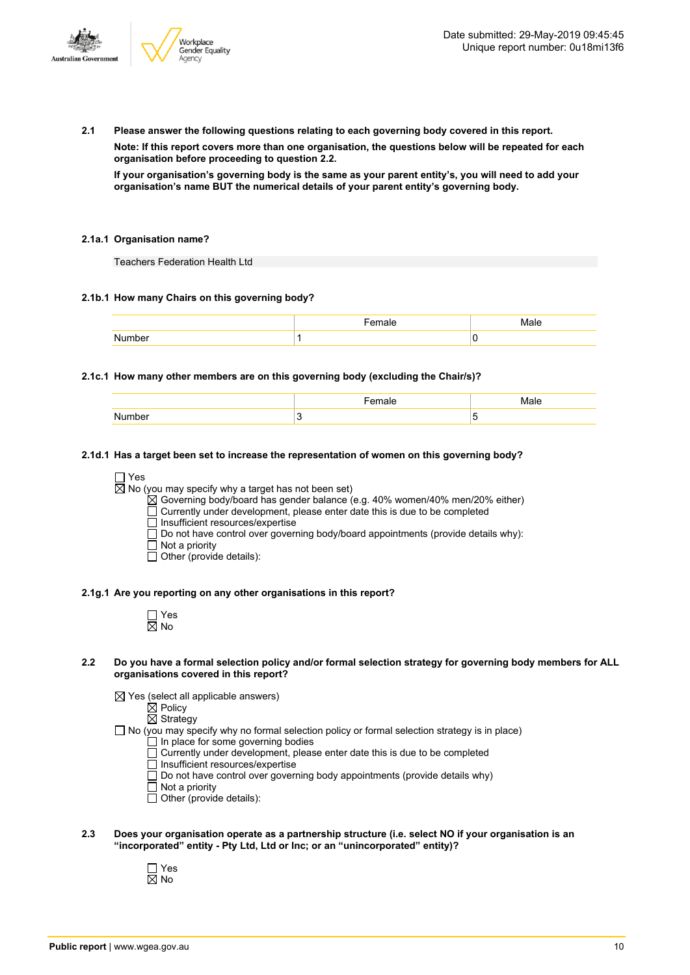

**2.1 Please answer the following questions relating to each governing body covered in this report.**

**Note: If this report covers more than one organisation, the questions below will be repeated for each organisation before proceeding to question 2.2.**

If your organisation's governing body is the same as your parent entity's, you will need to add your **organisation's name BUT the numerical details of your parent entity's governing body.**

#### **2.1a.1 Organisation name?**

Teachers Federation Health Ltd

#### **2.1b.1 How many Chairs on this governing body?**

#### **2.1c.1 How many other members are on this governing body (excluding the Chair/s)?**

| ~ |  |
|---|--|

#### **2.1d.1 Has a target been set to increase the representation of women on this governing body?**

□ Yes

 $\overline{\boxtimes}$  No (you may specify why a target has not been set)

 $\boxtimes$  Governing body/board has gender balance (e.g. 40% women/40% men/20% either)

Currently under development, please enter date this is due to be completed

 $\Box$  Insufficient resources/expertise

Do not have control over governing body/board appointments (provide details why):

- Not a priority
- $\Box$  Other (provide details):

#### **2.1g.1 Are you reporting on any other organisations in this report?**

| ٦<br>٠ |
|--------|

#### 2.2 Do you have a formal selection policy and/or formal selection strategy for governing body members for ALL **organisations covered in this report?**

 $\boxtimes$  Yes (select all applicable answers)

 $\boxtimes$  Policy

 $\overline{\boxtimes}$  Strategy

- $\Box$  No (you may specify why no formal selection policy or formal selection strategy is in place)
	- In place for some governing bodies Currently under development, please enter date this is due to be completed
	- $\overline{\Box}$  Insufficient resources/expertise
	- $\Box$  Do not have control over governing body appointments (provide details why)
	- Not a priority
	- Other (provide details):
- **2.3 Does your organisation operate as a partnership structure (i.e. select NO if your organisation is an "incorporated" entity - Pty Ltd, Ltd or Inc; or an "unincorporated" entity)?**
	- Yes No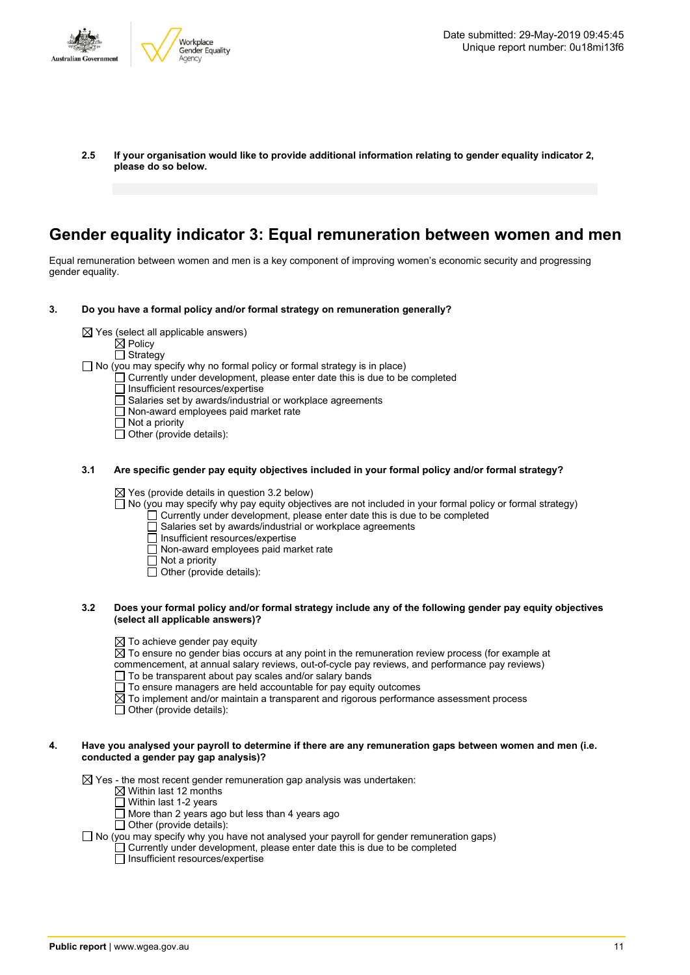

**2.5 If your organisation would like to provide additional information relating to gender equality indicator 2, please do so below.**

### **Gender equality indicator 3: Equal remuneration between women and men**

Equal remuneration between women and men is a key component of improving women's economic security and progressing gender equality.

- **3. Do you have a formal policy and/or formal strategy on remuneration generally?**
	- $\boxtimes$  Yes (select all applicable answers)
		- $\boxtimes$  Policy
		- □ Strategy

 $\Box$  No (you may specify why no formal policy or formal strategy is in place)

- Currently under development, please enter date this is due to be completed
	- Insufficient resources/expertise
- $\overline{\Box}$  Salaries set by awards/industrial or workplace agreements
- Non-award employees paid market rate
- $\Box$  Not a priority
- □ Other (provide details):
- **3.1 Are specific gender pay equity objectives included in your formal policy and/or formal strategy?**

 $\boxtimes$  Yes (provide details in question 3.2 below)

- No (you may specify why pay equity objectives are not included in your formal policy or formal strategy)
	- Currently under development, please enter date this is due to be completed
	- Salaries set by awards/industrial or workplace agreements
	- Insufficient resources/expertise
	- $\Box$  Non-award employees paid market rate
	- Not a priority
	- Other (provide details):
- 3.2 Does your formal policy and/or formal strategy include any of the following gender pay equity objectives **(select all applicable answers)?**
	- $\boxtimes$  To achieve gender pay equity
	- $\overline{\boxtimes}$  To ensure no gender bias occurs at any point in the remuneration review process (for example at
	- commencement, at annual salary reviews, out-of-cycle pay reviews, and performance pay reviews)
	- $\Box$  To be transparent about pay scales and/or salary bands
	- $\Box$  To ensure managers are held accountable for pay equity outcomes
	- $\boxtimes$  To implement and/or maintain a transparent and rigorous performance assessment process
	- $\Box$  Other (provide details):

#### 4. Have you analysed your payroll to determine if there are any remuneration gaps between women and men (i.e. **conducted a gender pay gap analysis)?**

 $\boxtimes$  Yes - the most recent gender remuneration gap analysis was undertaken:

- $\boxtimes$  Within last 12 months
- $\Box$  Within last 1-2 years
- $\Box$  More than 2 years ago but less than 4 years ago
- $\Box$  Other (provide details):

 $\Box$  No (you may specify why you have not analysed your payroll for gender remuneration gaps)

 $\Box$  Currently under development, please enter date this is due to be completed

 $\Box$  Insufficient resources/expertise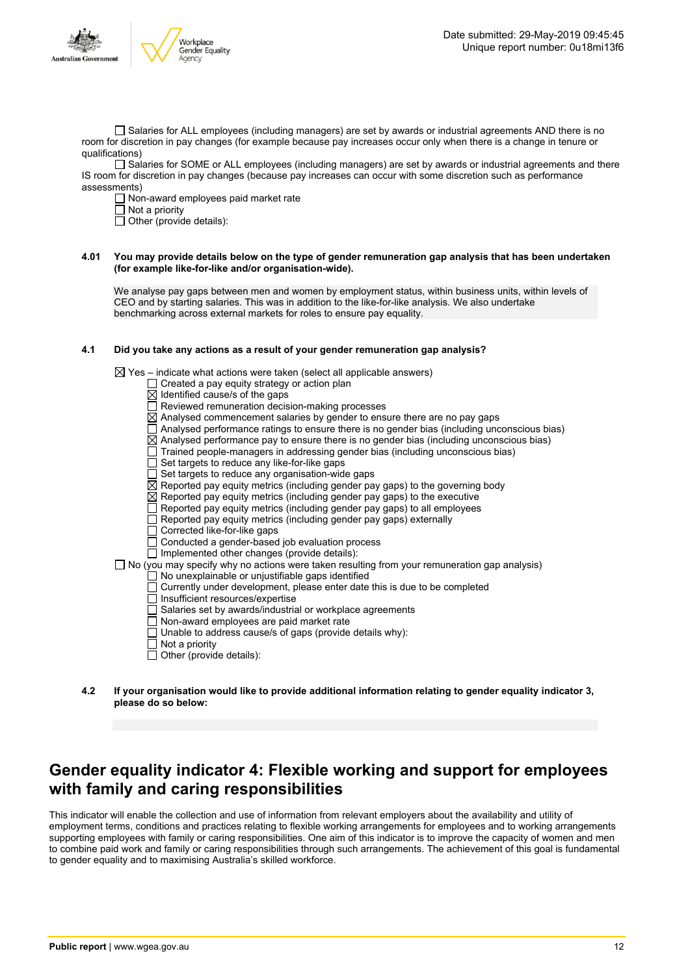

□ Salaries for ALL employees (including managers) are set by awards or industrial agreements AND there is no room for discretion in pay changes (for example because pay increases occur only when there is a change in tenure or qualifications)

Salaries for SOME or ALL employees (including managers) are set by awards or industrial agreements and there IS room for discretion in pay changes (because pay increases can occur with some discretion such as performance assessments)

 $\Box$  Non-award employees paid market rate

 $\Box$  Not a priority

 $\Box$  Other (provide details):

#### 4.01 You may provide details below on the type of gender remuneration gap analysis that has been undertaken **(for example like-for-like and/or organisation-wide).**

We analyse pay gaps between men and women by employment status, within business units, within levels of CEO and by starting salaries. This was in addition to the like-for-like analysis. We also undertake benchmarking across external markets for roles to ensure pay equality.

#### **4.1 Did you take any actions as a result of your gender remuneration gap analysis?**

 $\boxtimes$  Yes – indicate what actions were taken (select all applicable answers)

- $\Box$  Created a pay equity strategy or action plan
- $\overline{\boxtimes}$  Identified cause/s of the gaps
- $\Box$  Reviewed remuneration decision-making processes
- $\boxtimes$  Analysed commencement salaries by gender to ensure there are no pay gaps
- $\Box$  Analysed performance ratings to ensure there is no gender bias (including unconscious bias)
- $\overline{\boxtimes}$  Analysed performance pay to ensure there is no gender bias (including unconscious bias)
- $\Box$  Trained people-managers in addressing gender bias (including unconscious bias)
- Set targets to reduce any like-for-like gaps
- Set targets to reduce any organisation-wide gaps
- $\boxtimes$  Reported pay equity metrics (including gender pay gaps) to the governing body
- $\boxtimes$  Reported pay equity metrics (including gender pay gaps) to the executive
- Reported pay equity metrics (including gender pay gaps) to all employees
- Reported pay equity metrics (including gender pay gaps) externally
- $\Box$  Corrected like-for-like gaps
- $\Box$  Conducted a gender-based job evaluation process

#### $\overline{\Box}$  Implemented other changes (provide details):

 $\Box$  No (you may specify why no actions were taken resulting from your remuneration gap analysis)

#### $\Box$  No unexplainable or unjustifiable gaps identified

- $\Box$  Currently under development, please enter date this is due to be completed
	- Insufficient resources/expertise
- Salaries set by awards/industrial or workplace agreements
- Non-award employees are paid market rate
- $\Box$  Unable to address cause/s of gaps (provide details why):
- $\Box$  Not a priority
- $\Box$  Other (provide details):
- **4.2 If your organisation would like to provide additional information relating to gender equality indicator 3, please do so below:**

### **Gender equality indicator 4: Flexible working and support for employees with family and caring responsibilities**

This indicator will enable the collection and use of information from relevant employers about the availability and utility of employment terms, conditions and practices relating to flexible working arrangements for employees and to working arrangements supporting employees with family or caring responsibilities. One aim of this indicator is to improve the capacity of women and men to combine paid work and family or caring responsibilities through such arrangements. The achievement of this goal is fundamental to gender equality and to maximising Australia's skilled workforce.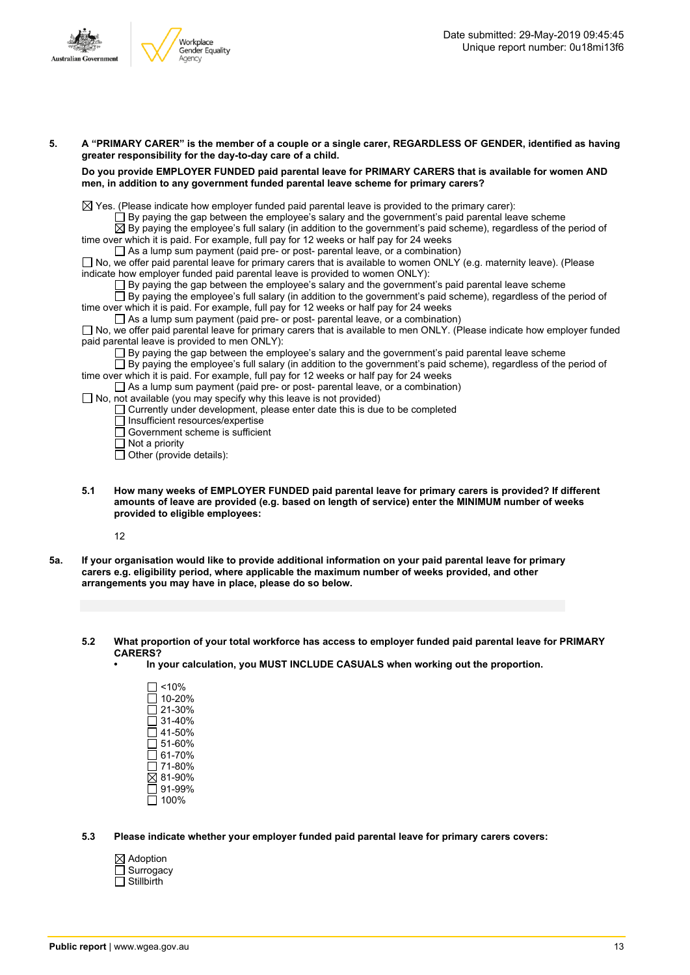

| men, in addition to any government funded parental leave scheme for primary carers?                                                                                                                                         |
|-----------------------------------------------------------------------------------------------------------------------------------------------------------------------------------------------------------------------------|
| $\boxtimes$ Yes. (Please indicate how employer funded paid parental leave is provided to the primary carer):                                                                                                                |
| $\Box$ By paying the gap between the employee's salary and the government's paid parental leave scheme                                                                                                                      |
| $\boxtimes$ By paying the employee's full salary (in addition to the government's paid scheme), regardless of the period of                                                                                                 |
| time over which it is paid. For example, full pay for 12 weeks or half pay for 24 weeks                                                                                                                                     |
| $\Box$ As a lump sum payment (paid pre- or post- parental leave, or a combination)                                                                                                                                          |
| $\Box$ No, we offer paid parental leave for primary carers that is available to women ONLY (e.g. maternity leave). (Please<br>indicate how employer funded paid parental leave is provided to women ONLY):                  |
| $\Box$ By paying the gap between the employee's salary and the government's paid parental leave scheme                                                                                                                      |
| $\Box$ By paying the employee's full salary (in addition to the government's paid scheme), regardless of the period of                                                                                                      |
| time over which it is paid. For example, full pay for 12 weeks or half pay for 24 weeks                                                                                                                                     |
| $\Box$ As a lump sum payment (paid pre- or post- parental leave, or a combination)                                                                                                                                          |
| □ No, we offer paid parental leave for primary carers that is available to men ONLY. (Please indicate how employer funded                                                                                                   |
| paid parental leave is provided to men ONLY).                                                                                                                                                                               |
| $\Box$ By paying the gap between the employee's salary and the government's paid parental leave scheme<br>□ By paying the employee's full salary (in addition to the government's paid scheme), regardless of the period of |
| time over which it is paid. For example, full pay for 12 weeks or half pay for 24 weeks                                                                                                                                     |
| $\Box$ As a lump sum payment (paid pre- or post- parental leave, or a combination)                                                                                                                                          |
| $\Box$ No, not available (you may specify why this leave is not provided)                                                                                                                                                   |
| $\Box$ Currently under development, please enter date this is due to be completed                                                                                                                                           |
| $\Box$ Insufficient resources/expertise                                                                                                                                                                                     |
| $\Box$ Government scheme is sufficient                                                                                                                                                                                      |
| $\Box$ Not a priority                                                                                                                                                                                                       |
| $\Box$ Other (provide details):                                                                                                                                                                                             |

5. A "PRIMARY CARER" is the member of a couple or a single carer, REGARDLESS OF GENDER, identified as having

- **5.1 How many weeks of EMPLOYER FUNDED paid parental leave for primary carers is provided? If different amounts of leave are provided (e.g. based on length of service) enter the MINIMUM number of weeks provided to eligible employees:**
	- 12
- 5a. If your organisation would like to provide additional information on your paid parental leave for primary **carers e.g. eligibility period, where applicable the maximum number of weeks provided, and other arrangements you may have in place, please do so below.**
	- **5.2 What proportion of your total workforce has access to employer funded paid parental leave for PRIMARY CARERS?**
		- **• In your calculation, you MUST INCLUDE CASUALS when working out the proportion.**
			- $\square$  <10%  $\square$  10-20% 21-30% 31-40% 41-50%  $\overline{\Box}$  51-60% 61-70% 71-80%  $\overline{\boxtimes}$  81-90% 91-99%  $\overline{\Box}$  100%
	- **5.3 Please indicate whether your employer funded paid parental leave for primary carers covers:**
		- Adoption **Surrogacy**  $\overline{\Box}$  Stillbirth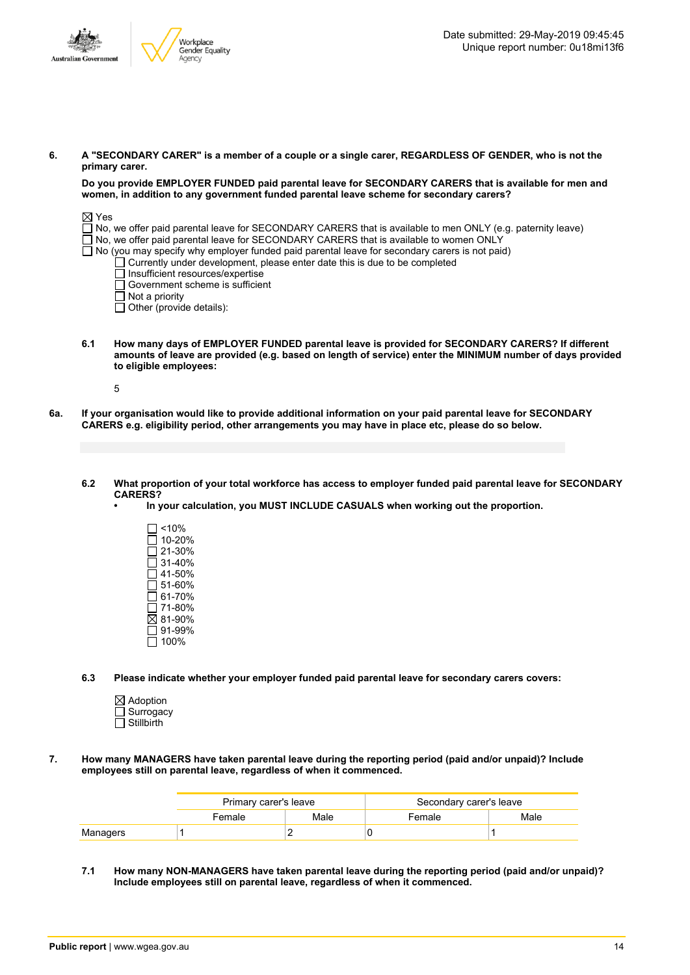

#### 6. A "SECONDARY CARER" is a member of a couple or a single carer, REGARDLESS OF GENDER, who is not the **primary carer.**

**Do you provide EMPLOYER FUNDED paid parental leave for SECONDARY CARERS that is available for men and women, in addition to any government funded parental leave scheme for secondary carers?**

#### $\boxtimes$  Yes

No, we offer paid parental leave for SECONDARY CARERS that is available to men ONLY (e.g. paternity leave)

- No, we offer paid parental leave for SECONDARY CARERS that is available to women ONLY
- $\Box$  No (you may specify why employer funded paid parental leave for secondary carers is not paid)
	- Currently under development, please enter date this is due to be completed
	- Insufficient resources/expertise
	- Government scheme is sufficient
	- $\Box$  Not a priority
	- $\Box$  Other (provide details):
- **6.1 How many days of EMPLOYER FUNDED parental leave is provided for SECONDARY CARERS? If different** amounts of leave are provided (e.g. based on length of service) enter the MINIMUM number of days provided **to eligible employees:**
	- 5
- 6a. If your organisation would like to provide additional information on your paid parental leave for SECONDARY **CARERS e.g. eligibility period, other arrangements you may have in place etc, please do so below.**

#### 6.2 What proportion of your total workforce has access to employer funded paid parental leave for SECONDARY **CARERS?**

- **• In your calculation, you MUST INCLUDE CASUALS when working out the proportion.**
	- $\square$  <10% 10-20% 21-30%  $\overline{\Box}$  31-40%  $\square$  41-50%  $\Box$  51-60%  $\overline{\Box}$  61-70%  $\square$  71-80%  $281 - 90%$  $\overline{\rule[8pt]{0pt}{0.8em}}$  91-99%  $\overline{\Box}$  100%
- **6.3 Please indicate whether your employer funded paid parental leave for secondary carers covers:**
	- $\boxtimes$  Adoption □ Surrogacy  $\overline{\Box}$  Stillbirth
- **7. How many MANAGERS have taken parental leave during the reporting period (paid and/or unpaid)? Include employees still on parental leave, regardless of when it commenced.**

|          | Primary carer's leave |      | Secondary carer's leave |      |  |
|----------|-----------------------|------|-------------------------|------|--|
|          | Female                | Male | Female                  | Male |  |
| Managers |                       |      |                         |      |  |

**7.1 How many NON-MANAGERS have taken parental leave during the reporting period (paid and/or unpaid)? Include employees still on parental leave, regardless of when it commenced.**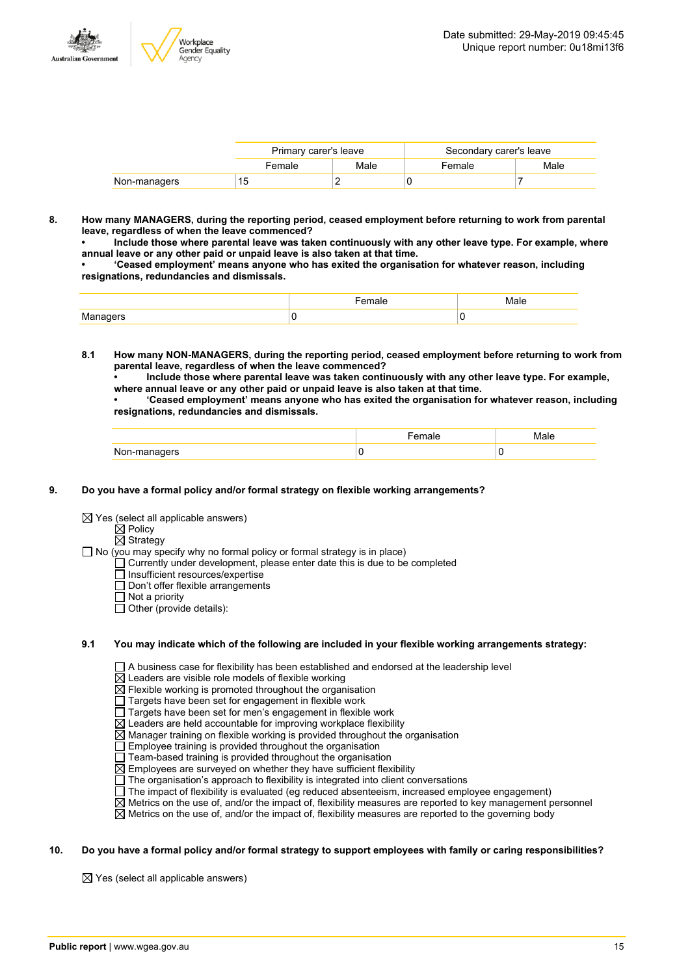

|              | Primary carer's leave |      | Secondary carer's leave |      |  |
|--------------|-----------------------|------|-------------------------|------|--|
|              | Female                | Male | Female                  | Male |  |
| Non-managers | 15                    |      |                         |      |  |

**8. How many MANAGERS, during the reporting period, ceased employment before returning to work from parental leave, regardless of when the leave commenced?**

**• Include those where parental leave was taken continuously with any other leave type. For example, where annual leave or any other paid or unpaid leave is also taken at that time.**

**• 'Ceased employment' means anyone who has exited the organisation for whatever reason, including resignations, redundancies and dismissals.**

|                        | 91 H | Male |
|------------------------|------|------|
| ' MIƏ<br>$\cdots$ ners |      |      |

- **8.1 How many NON-MANAGERS, during the reporting period, ceased employment before returning to work from parental leave, regardless of when the leave commenced?**
	- **• Include those where parental leave was taken continuously with any other leave type. For example, where annual leave or any other paid or unpaid leave is also taken at that time.**

**• 'Ceased employment' means anyone who has exited the organisation for whatever reason, including resignations, redundancies and dismissals.**

|              | . | Male |
|--------------|---|------|
| Non-managers | u | u    |

#### **9. Do you have a formal policy and/or formal strategy on flexible working arrangements?**

- $\boxtimes$  Yes (select all applicable answers)
	- $\boxtimes$  Policy
	- $\overline{\boxtimes}$  Strategy
- $\Box$  No (you may specify why no formal policy or formal strategy is in place)
	- $\Box$  Currently under development, please enter date this is due to be completed
		- □ Insufficient resources/expertise
		- Don't offer flexible arrangements
		- Not a priority
		- $\Box$  Other (provide details):

#### **9.1 You may indicate which of the following are included in your flexible working arrangements strategy:**

 $\Box$  A business case for flexibility has been established and endorsed at the leadership level

 $\overline{\boxtimes}$  Leaders are visible role models of flexible working

 $\overline{\boxtimes}$  Flexible working is promoted throughout the organisation

- $\Box$  Targets have been set for engagement in flexible work
- $\Box$  Targets have been set for men's engagement in flexible work
- $\boxtimes$  Leaders are held accountable for improving workplace flexibility
- $\boxtimes$  Manager training on flexible working is provided throughout the organisation
- $\Box$  Employee training is provided throughout the organisation
- $\Box$  Team-based training is provided throughout the organisation
- $\boxtimes$  Employees are surveyed on whether they have sufficient flexibility
- $\Box$  The organisation's approach to flexibility is integrated into client conversations
- The impact of flexibility is evaluated (eg reduced absenteeism, increased employee engagement)
- $\overline{\boxtimes}$  Metrics on the use of, and/or the impact of, flexibility measures are reported to key management personnel
- $\boxtimes$  Metrics on the use of, and/or the impact of, flexibility measures are reported to the governing body

#### 10. Do you have a formal policy and/or formal strategy to support employees with family or caring responsibilities?

 $\boxtimes$  Yes (select all applicable answers)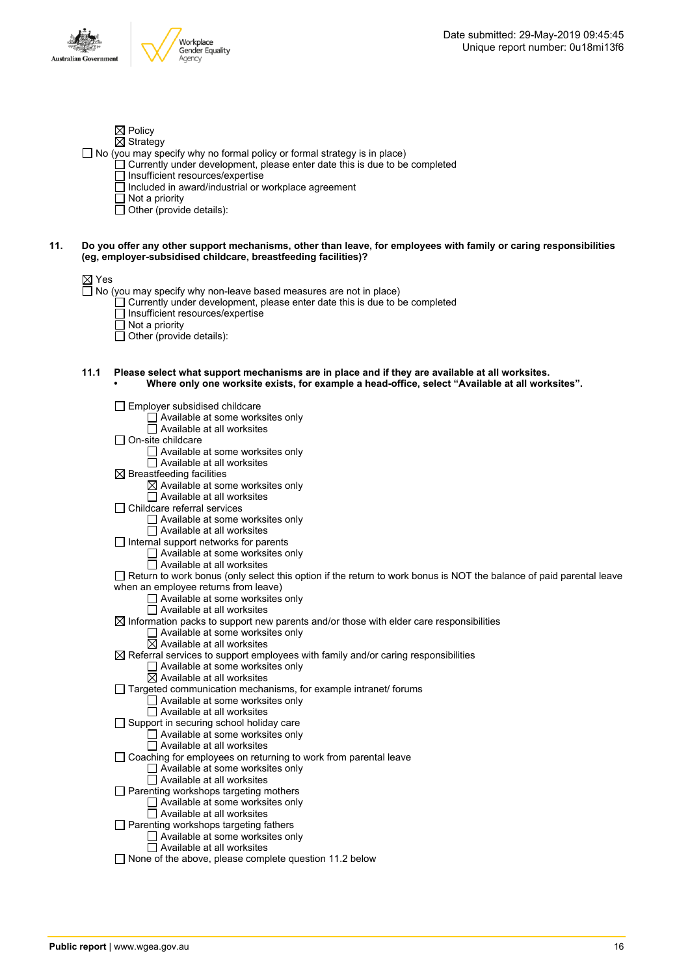

- $\boxtimes$  Policy  $\boxtimes$  Strategy
- $\Box$  No (you may specify why no formal policy or formal strategy is in place)
	- Currently under development, please enter date this is due to be completed
	- $\Box$  Insufficient resources/expertise
	- $\Box$  Included in award/industrial or workplace agreement
	- $\Box$  Not a priority
	- $\Box$  Other (provide details):
- 11. Do you offer any other support mechanisms, other than leave, for employees with family or caring responsibilities **(eg, employer-subsidised childcare, breastfeeding facilities)?**

#### $\boxtimes$  Yes

 $\Box$  No (you may specify why non-leave based measures are not in place)

- $\Box$  Currently under development, please enter date this is due to be completed
- Insufficient resources/expertise
- Not a priority
- Other (provide details):
- **11.1 Please select what support mechanisms are in place and if they are available at all worksites. • Where only one worksite exists, for example a head-office, select "Available at all worksites".**
	- $\Box$  Employer subsidised childcare Available at some worksites only Available at all worksites  $\Box$  On-site childcare Available at some worksites only  $\overline{\Box}$  Available at all worksites  $\boxtimes$  Breastfeeding facilities  $\boxtimes$  Available at some worksites only  $\Box$  Available at all worksites Childcare referral services □ Available at some worksites only  $\overline{\Box}$  Available at all worksites  $\Box$  Internal support networks for parents  $\Box$  Available at some worksites only  $\Box$  Available at all worksites Return to work bonus (only select this option if the return to work bonus is NOT the balance of paid parental leave when an employee returns from leave) Available at some worksites only Available at all worksites  $\boxtimes$  Information packs to support new parents and/or those with elder care responsibilities  $\Box$  Available at some worksites only  $\boxtimes$  Available at all worksites  $\boxtimes$  Referral services to support employees with family and/or caring responsibilities  $\Box$  Available at some worksites only  $\overline{\boxtimes}$  Available at all worksites  $\Box$  Targeted communication mechanisms, for example intranet/ forums □ Available at some worksites only  $\Box$  Available at all worksites  $\Box$  Support in securing school holiday care Available at some worksites only Available at all worksites Coaching for employees on returning to work from parental leave Available at some worksites only Available at all worksites  $\Box$  Parenting workshops targeting mothers □ Available at some worksites only  $\Box$  Available at all worksites  $\Box$  Parenting workshops targeting fathers  $\Box$  Available at some worksites only  $\Box$  Available at all worksites  $\Box$  None of the above, please complete question 11.2 below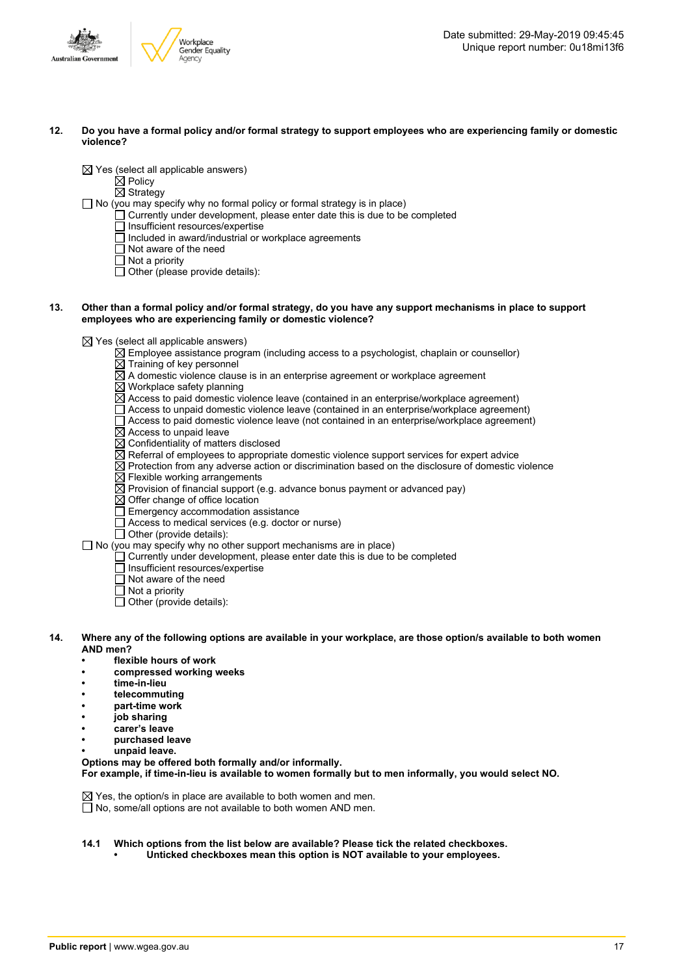

12. Do you have a formal policy and/or formal strategy to support employees who are experiencing family or domestic **violence?**

 $\boxtimes$  Yes (select all applicable answers)

 $\boxtimes$  Policy

 $\overline{\boxtimes}$  Strategy

 $\Box$  No (you may specify why no formal policy or formal strategy is in place)

- $\Box$  Currently under development, please enter date this is due to be completed
- $\Box$  Insufficient resources/expertise
- $\Box$  Included in award/industrial or workplace agreements
- □ Not aware of the need
- $\Box$  Not a priority

 $\Box$  Other (please provide details):

13. Other than a formal policy and/or formal strategy, do you have any support mechanisms in place to support **employees who are experiencing family or domestic violence?**

 $\boxtimes$  Yes (select all applicable answers)

- $\boxtimes$  Employee assistance program (including access to a psychologist, chaplain or counsellor)
- $\overline{\boxtimes}$  Training of key personnel
- A domestic violence clause is in an enterprise agreement or workplace agreement
- $\boxtimes$  Workplace safety planning
- $\overline{\boxtimes}$  Access to paid domestic violence leave (contained in an enterprise/workplace agreement)
- $\Box$  Access to unpaid domestic violence leave (contained in an enterprise/workplace agreement)
- Access to paid domestic violence leave (not contained in an enterprise/workplace agreement)
- $\boxtimes$  Access to unpaid leave
- $\boxtimes$  Confidentiality of matters disclosed
- $\overline{\boxtimes}$  Referral of employees to appropriate domestic violence support services for expert advice
- $\overline{\boxtimes}$  Protection from any adverse action or discrimination based on the disclosure of domestic violence
- $\boxtimes$  Flexible working arrangements
- $\overline{\boxtimes}$  Provision of financial support (e.g. advance bonus payment or advanced pay)
- $\boxtimes$  Offer change of office location
- $\Box$  Emergency accommodation assistance
- $\Box$  Access to medical services (e.g. doctor or nurse)
- $\Box$  Other (provide details):

 $\Box$  No (you may specify why no other support mechanisms are in place)

- $\Box$  Currently under development, please enter date this is due to be completed
	- □ Insufficient resources/expertise
	- $\Box$  Not aware of the need
	- $\overline{\Box}$  Not a priority
	- $\overline{\Box}$  Other (provide details):
- 14. Where any of the following options are available in your workplace, are those option/s available to both women **AND men?**
	- **• flexible hours of work**
	- **• compressed working weeks**
	- **• time-in-lieu**
	- **• telecommuting**
	- **• part-time work**
	- **• job sharing**
	- **• carer's leave**
	- **• purchased leave**
	- **• unpaid leave.**

**Options may be offered both formally and/or informally. For example, if time-in-lieu is available to women formally but to men informally, you would select NO.**

 $\boxtimes$  Yes, the option/s in place are available to both women and men.  $\overline{\Box}$  No, some/all options are not available to both women AND men.

- **14.1 Which options from the list below are available? Please tick the related checkboxes.**
	- **• Unticked checkboxes mean this option is NOT available to your employees.**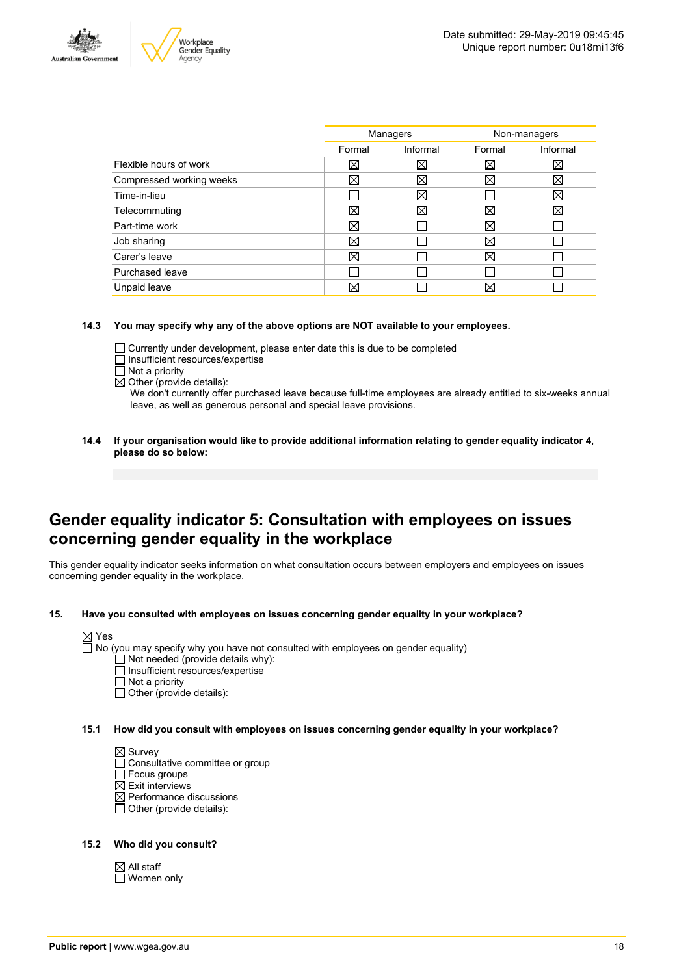



|                          | Managers |             | Non-managers |             |
|--------------------------|----------|-------------|--------------|-------------|
|                          | Formal   | Informal    | Formal       | Informal    |
| Flexible hours of work   | ⊠        | $\boxtimes$ | ⊠            | $\boxtimes$ |
| Compressed working weeks | ⊠        | $\boxtimes$ | ⊠            | $\boxtimes$ |
| Time-in-lieu             |          | X           |              | X           |
| Telecommuting            | ⊠        | ⊠           | ⊠            | X           |
| Part-time work           | ⊠        |             | ⊠            |             |
| Job sharing              | ⊠        |             | ⊠            |             |
| Carer's leave            | ⊠        |             | ⊠            |             |
| Purchased leave          |          |             |              |             |
| Unpaid leave             | ⋈        |             | ⊠            |             |
|                          |          |             |              |             |

#### **14.3 You may specify why any of the above options are NOT available to your employees.**

- Currently under development, please enter date this is due to be completed
- $\Box$  Insufficient resources/expertise
- $\overline{\Box}$  Not a priority
- $\overline{\boxtimes}$  Other (provide details):

We don't currently offer purchased leave because full-time employees are already entitled to six-weeks annual leave, as well as generous personal and special leave provisions.

**14.4 If your organisation would like to provide additional information relating to gender equality indicator 4, please do so below:**

### **Gender equality indicator 5: Consultation with employees on issues concerning gender equality in the workplace**

This gender equality indicator seeks information on what consultation occurs between employers and employees on issues concerning gender equality in the workplace.

**15. Have you consulted with employees on issues concerning gender equality in your workplace?**



 $\Box$  Not needed (provide details why):

- Insufficient resources/expertise
- Not a priority
- $\Box$  Other (provide details):
- **15.1 How did you consult with employees on issues concerning gender equality in your workplace?**

 $\boxtimes$  Survey

- □ Consultative committee or group
- □ Focus groups
- $\boxtimes$  Exit interviews
- $\overline{\boxtimes}$  Performance discussions
- $\Box$  Other (provide details):

#### **15.2 Who did you consult?**

 $\boxtimes$  All staff □ Women only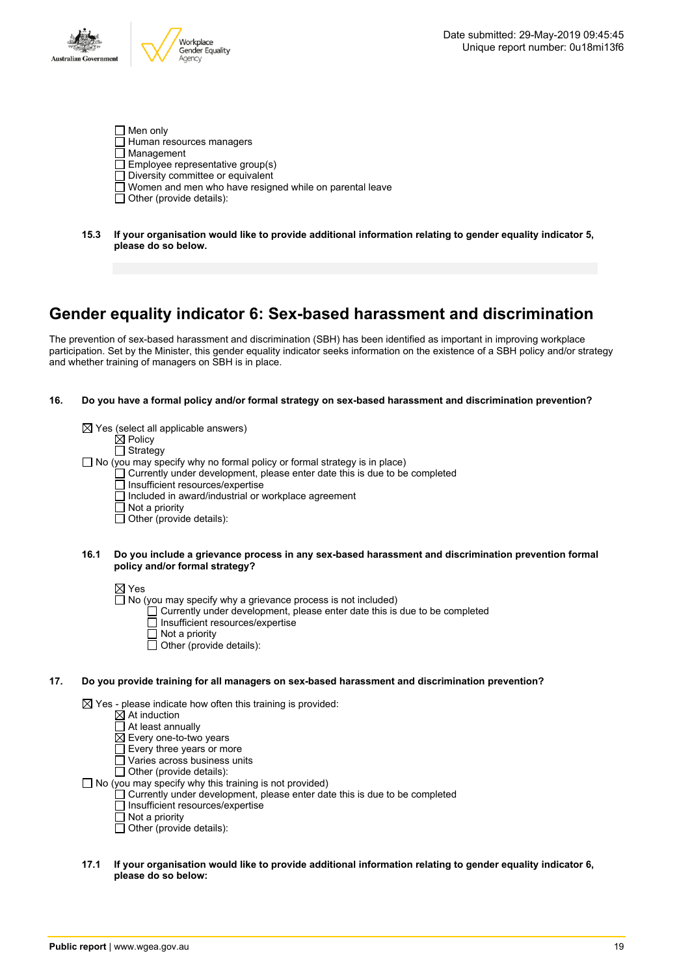- $\Box$  Men only Human resources managers  $\overline{\Box}$  Management  $\Box$  Employee representative group(s)  $\Box$  Diversity committee or equivalent Women and men who have resigned while on parental leave
- $\Box$  Other (provide details):
- **15.3 If your organisation would like to provide additional information relating to gender equality indicator 5, please do so below.**

### **Gender equality indicator 6: Sex-based harassment and discrimination**

The prevention of sex-based harassment and discrimination (SBH) has been identified as important in improving workplace participation. Set by the Minister, this gender equality indicator seeks information on the existence of a SBH policy and/or strategy and whether training of managers on SBH is in place.

#### **16. Do you have a formal policy and/or formal strategy on sex-based harassment and discrimination prevention?**

| $\boxtimes$ Yes (select all applicable answers)                                 |
|---------------------------------------------------------------------------------|
| $\boxtimes$ Policy                                                              |
| $\Box$ Strategy                                                                 |
| $\Box$ No (you may specify why no formal policy or formal strategy is in place) |
| Currently under development, please enter date this is due to be completed      |
| □ Insufficient resources/expertise                                              |
| $\Box$ Included in award/industrial or workplace agreement                      |
| $\Box$ Not a priority                                                           |
| $\Box$ Other (provide details):                                                 |
|                                                                                 |
|                                                                                 |

#### **16.1 Do you include a grievance process in any sex-based harassment and discrimination prevention formal policy and/or formal strategy?**

 $\boxtimes$  Yes

- $\Box$  No (you may specify why a grievance process is not included)
	- Currently under development, please enter date this is due to be completed
	- Insufficient resources/expertise
	- $\Box$  Not a priority
	- $\Box$  Other (provide details):

#### **17. Do you provide training for all managers on sex-based harassment and discrimination prevention?**

 $\boxtimes$  Yes - please indicate how often this training is provided:

- At induction
- At least annually
- $\boxtimes$  Every one-to-two years
- Every three years or more
- $\Box$  Varies across business units

 $\Box$  Other (provide details):

 $\Box$  No (you may specify why this training is not provided)

- Currently under development, please enter date this is due to be completed
- Insufficient resources/expertise
- $\overline{\Pi}$  Not a priority
- $\Box$  Other (provide details):

#### **17.1 If your organisation would like to provide additional information relating to gender equality indicator 6, please do so below:**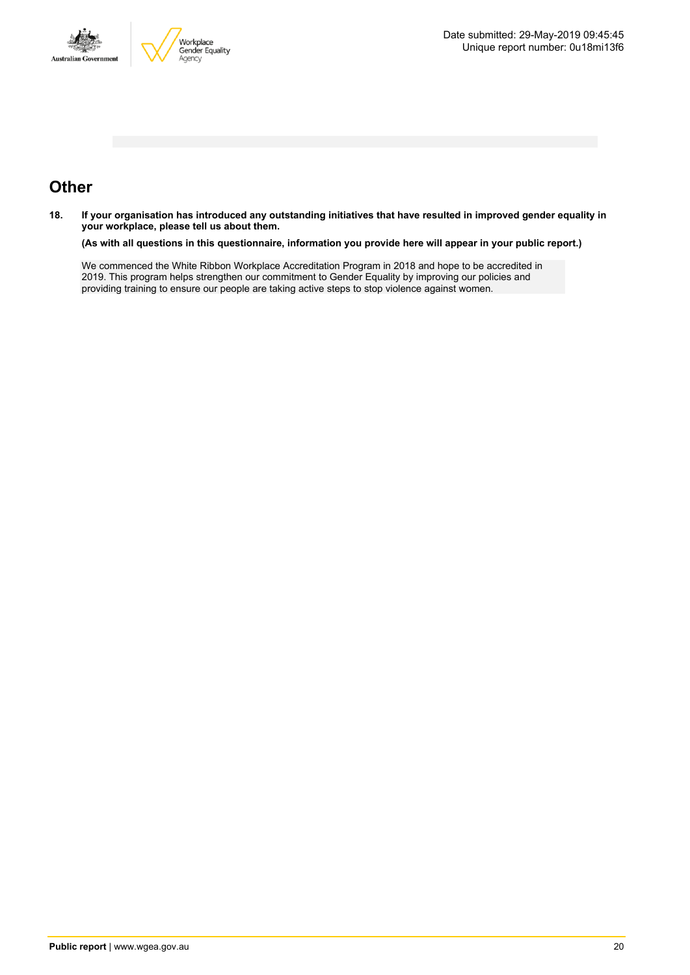



# **Other**

18. If your organisation has introduced any outstanding initiatives that have resulted in improved gender equality in **your workplace, please tell us about them.**

(As with all questions in this questionnaire, information you provide here will appear in your public report.)

We commenced the White Ribbon Workplace Accreditation Program in 2018 and hope to be accredited in 2019. This program helps strengthen our commitment to Gender Equality by improving our policies and providing training to ensure our people are taking active steps to stop violence against women.